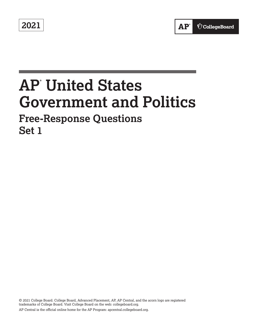**2021** 

# **AP® United States Government and Politics**

# **Free-Response Questions Set 1**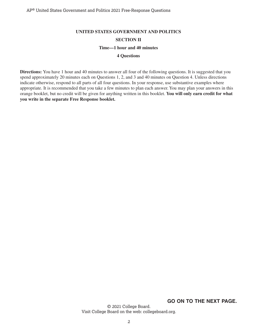#### **UNITED STATES GOVERNMENT AND POLITICS**

#### **SECTION II**

#### **Time—1 hour and 40 minutes**

#### **4 Questions**

**Directions:** You have 1 hour and 40 minutes to answer all four of the following questions. It is suggested that you spend approximately 20 minutes each on Questions 1, 2, and 3 and 40 minutes on Question 4. Unless directions indicate otherwise, respond to all parts of all four questions. In your response, use substantive examples where appropriate. It is recommended that you take a few minutes to plan each answer. You may plan your answers in this orange booklet, but no credit will be given for anything written in this booklet. **You will only earn credit for what you write in the separate Free Response booklet.** 

**GO ON TO THE NEXT PAGE.**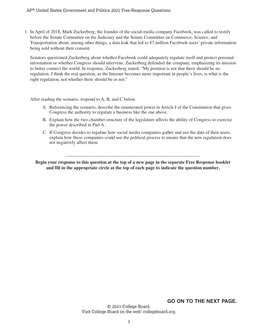1. In April of 2018, Mark Zuckerberg, the founder of the social media company Facebook, was called to testify before the Senate Committee on the Judiciary and the Senate Committee on Commerce, Science, and Transportation about, among other things, a data leak that led to 87 million Facebook users' private information being sold without their consent.

Senators questioned Zuckerberg about whether Facebook could adequately regulate itself and protect personal information or whether Congress should intervene. Zuckerberg defended the company, emphasizing its mission to better connect the world. In response, Zuckerberg stated, "My position is not that there should be no regulation. I think the real question, as the Internet becomes more important in people's lives, is what is the right regulation, not whether there should be or not."

After reading the scenario, respond to A, B, and C below.

- A. Referencing the scenario, describe the enumerated power in Article I of the Constitution that gives Congress the authority to regulate a business like the one above.
- B. Explain how the two-chamber structure of the legislature affects the ability of Congress to exercise the power described in Part A.
- C. If Congress decides to regulate how social media companies gather and use the data of their users, explain how these companies could use the political process to ensure that the new regulation does not negatively affect them.

**Begin your response to this question at the top of a new page in the separate Free Response booklet and fill in the appropriate circle at the top of each page to indicate the question number.** 

\_\_\_\_\_\_\_\_\_\_\_\_\_\_\_\_\_\_\_\_\_\_\_\_\_\_\_\_\_\_\_\_\_\_\_\_\_\_\_\_\_\_\_\_\_\_\_\_\_\_\_\_\_\_\_\_\_\_

**GO ON TO THE NEXT PAGE.**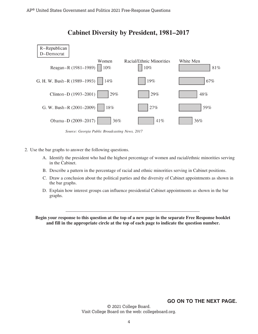

# **Cabinet Diversity by President, 1981–2017**



- 2. Use the bar graphs to answer the following questions.
	- A. Identify the president who had the highest percentage of women and racial/ethnic minorities serving in the Cabinet.
	- B. Describe a pattern in the percentage of racial and ethnic minorities serving in Cabinet positions.
	- C. Draw a conclusion about the political parties and the diversity of Cabinet appointments as shown in the bar graphs.
	- D. Explain how interest groups can influence presidential Cabinet appointments as shown in the bar graphs.

**Begin your response to this question at the top of a new page in the separate Free Response booklet and fill in the appropriate circle at the top of each page to indicate the question number.** 

\_\_\_\_\_\_\_\_\_\_\_\_\_\_\_\_\_\_\_\_\_\_\_\_\_\_\_\_\_\_\_\_\_\_\_\_\_\_\_\_\_\_\_\_\_\_\_\_\_\_\_\_\_\_\_\_\_\_

### **GO ON TO THE NEXT PAGE.**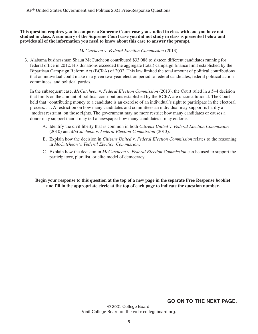**This question requires you to compare a Supreme Court case you studied in class with one you have not studied in class. A summary of the Supreme Court case you did not study in class is presented below and provides all of the information you need to know about this case to answer the prompt.** 

*McCutcheon* v. *Federal Election Commission* (2013)

3. Alabama businessman Shaun McCutcheon contributed \$33,088 to sixteen different candidates running for federal office in 2012. His donations exceeded the aggregate (total) campaign finance limit established by the Bipartisan Campaign Reform Act (BCRA) of 2002. This law limited the total amount of political contributions that an individual could make in a given two-year election period to federal candidates, federal political action committees, and political parties.

In the subsequent case, *McCutcheon* v. *Federal Election Commission* (2013), the Court ruled in a 5–4 decision that limits on the amount of political contributions established by the BCRA are unconstitutional. The Court held that "contributing money to a candidate is an exercise of an individual's right to participate in the electoral process. . . . A restriction on how many candidates and committees an individual may support is hardly a 'modest restraint' on those rights. The government may no more restrict how many candidates or causes a donor may support than it may tell a newspaper how many candidates it may endorse."

- A. Identify the civil liberty that is common in both *Citizens United* v. *Federal Election Commission*  (2010) and *McCutcheon* v. *Federal Election Commission* (2013).
- B. Explain how the decision in *Citizens United* v. *Federal Election Commission* relates to the reasoning in *McCutcheon* v. *Federal Election Commission*.
- C. Explain how the decision in *McCutcheon* v. *Federal Election Commission* can be used to support the participatory, pluralist, or elite model of democracy.

**Begin your response to this question at the top of a new page in the separate Free Response booklet and fill in the appropriate circle at the top of each page to indicate the question number.** 

\_\_\_\_\_\_\_\_\_\_\_\_\_\_\_\_\_\_\_\_\_\_\_\_\_\_\_\_\_\_\_\_\_\_\_\_\_\_\_\_\_\_\_\_\_\_\_\_\_\_\_\_\_\_\_\_\_\_

## **GO ON TO THE NEXT PAGE.**